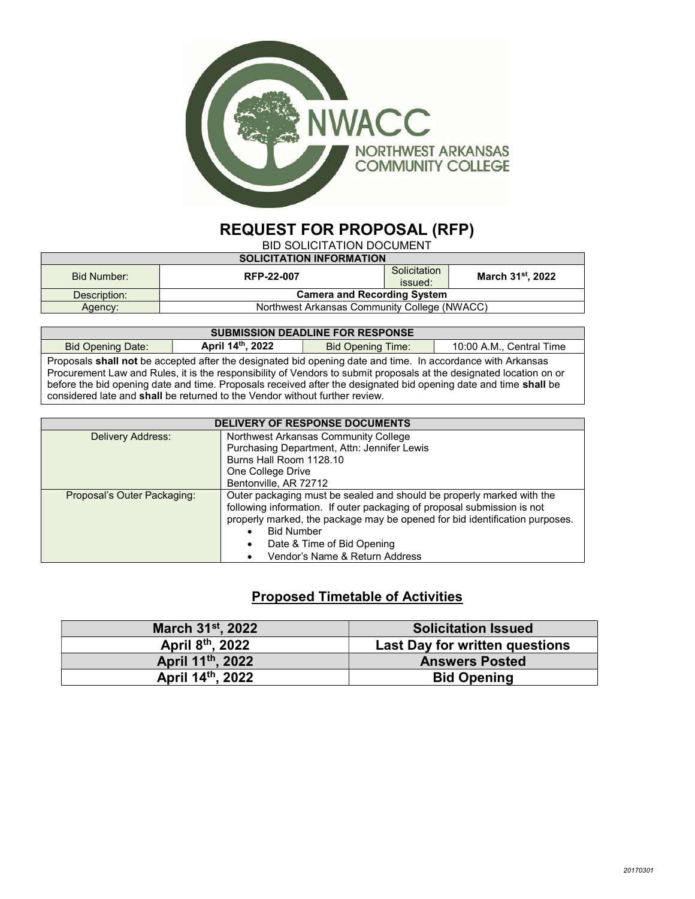

# REQUEST FOR PROPOSAL (RFP)

BID SOLICITATION DOCUMENT

| <b>SOLICITATION INFORMATION</b> |                                              |              |                               |
|---------------------------------|----------------------------------------------|--------------|-------------------------------|
| Bid Number:                     | RFP-22-007                                   | Solicitation | March 31 <sup>st</sup> , 2022 |
|                                 |                                              | issued:      |                               |
| Description:                    | <b>Camera and Recording System</b>           |              |                               |
| Agency:                         | Northwest Arkansas Community College (NWACC) |              |                               |

| <b>SUBMISSION DEADLINE FOR RESPONSE</b>                                                                             |  |  |  |  |  |
|---------------------------------------------------------------------------------------------------------------------|--|--|--|--|--|
| April 14th, 2022<br><b>Bid Opening Time:</b><br><b>Bid Opening Date:</b><br>10:00 A.M., Central Time                |  |  |  |  |  |
| Proposals shall not be accepted after the designated bid opening date and time. In accordance with Arkansas         |  |  |  |  |  |
| Procurement Law and Rules, it is the responsibility of Vendors to submit proposals at the designated location on or |  |  |  |  |  |
| before the bid opening date and time. Proposals received after the designated bid opening date and time shall be    |  |  |  |  |  |
| considered late and <b>shall</b> be returned to the Vendor without further review.                                  |  |  |  |  |  |

| <b>DELIVERY OF RESPONSE DOCUMENTS</b> |                                                                             |  |  |
|---------------------------------------|-----------------------------------------------------------------------------|--|--|
| Delivery Address:                     | Northwest Arkansas Community College                                        |  |  |
|                                       | Purchasing Department, Attn: Jennifer Lewis                                 |  |  |
|                                       | Burns Hall Room 1128.10                                                     |  |  |
|                                       | One College Drive                                                           |  |  |
|                                       | Bentonville, AR 72712                                                       |  |  |
| Proposal's Outer Packaging:           | Outer packaging must be sealed and should be properly marked with the       |  |  |
|                                       | following information. If outer packaging of proposal submission is not     |  |  |
|                                       | properly marked, the package may be opened for bid identification purposes. |  |  |
|                                       | <b>Bid Number</b>                                                           |  |  |
|                                       | Date & Time of Bid Opening                                                  |  |  |
|                                       | Vendor's Name & Return Address                                              |  |  |

# Proposed Timetable of Activities

| March 31 <sup>st</sup> , 2022 | <b>Solicitation Issued</b>            |
|-------------------------------|---------------------------------------|
| April 8th, 2022               | <b>Last Day for written questions</b> |
| April 11th, 2022              | <b>Answers Posted</b>                 |
| April 14th, 2022              | <b>Bid Opening</b>                    |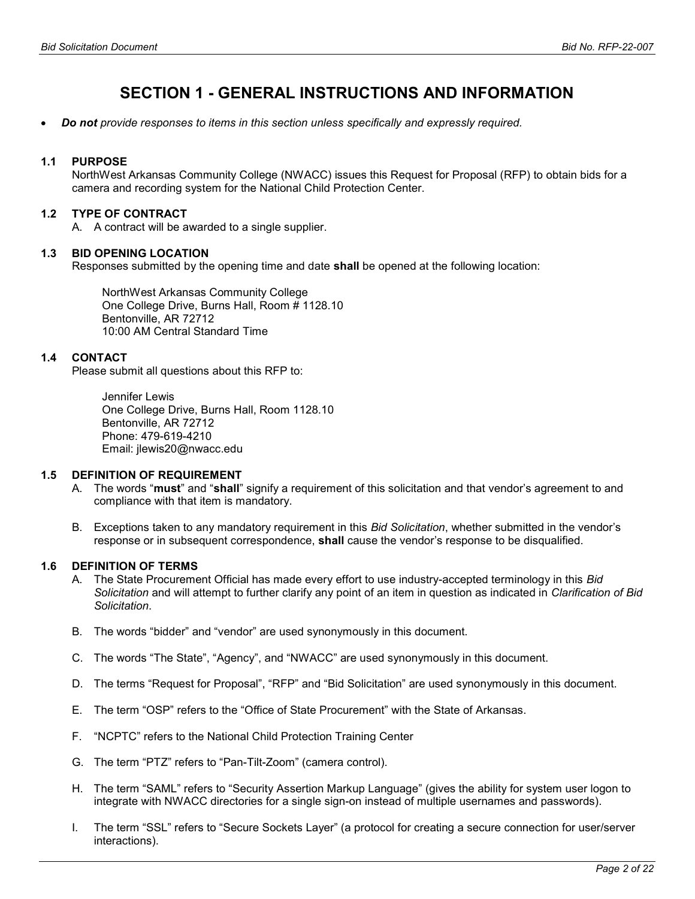# SECTION 1 - GENERAL INSTRUCTIONS AND INFORMATION

Do not provide responses to items in this section unless specifically and expressly required.

## 1.1 PURPOSE

NorthWest Arkansas Community College (NWACC) issues this Request for Proposal (RFP) to obtain bids for a camera and recording system for the National Child Protection Center.

## 1.2 TYPE OF CONTRACT

A. A contract will be awarded to a single supplier.

#### 1.3 BID OPENING LOCATION

Responses submitted by the opening time and date **shall** be opened at the following location:

NorthWest Arkansas Community College One College Drive, Burns Hall, Room # 1128.10 Bentonville, AR 72712 10:00 AM Central Standard Time

#### 1.4 CONTACT

Please submit all questions about this RFP to:

Jennifer Lewis One College Drive, Burns Hall, Room 1128.10 Bentonville, AR 72712 Phone: 479-619-4210 Email: jlewis20@nwacc.edu

## 1.5 DEFINITION OF REQUIREMENT

- A. The words "must" and "shall" signify a requirement of this solicitation and that vendor's agreement to and compliance with that item is mandatory.
- B. Exceptions taken to any mandatory requirement in this Bid Solicitation, whether submitted in the vendor's response or in subsequent correspondence, **shall** cause the vendor's response to be disqualified.

#### 1.6 DEFINITION OF TERMS

- A. The State Procurement Official has made every effort to use industry-accepted terminology in this Bid Solicitation and will attempt to further clarify any point of an item in question as indicated in Clarification of Bid Solicitation.
- B. The words "bidder" and "vendor" are used synonymously in this document.
- C. The words "The State", "Agency", and "NWACC" are used synonymously in this document.
- D. The terms "Request for Proposal", "RFP" and "Bid Solicitation" are used synonymously in this document.
- E. The term "OSP" refers to the "Office of State Procurement" with the State of Arkansas.
- F. "NCPTC" refers to the National Child Protection Training Center
- G. The term "PTZ" refers to "Pan-Tilt-Zoom" (camera control).
- H. The term "SAML" refers to "Security Assertion Markup Language" (gives the ability for system user logon to integrate with NWACC directories for a single sign-on instead of multiple usernames and passwords).
- I. The term "SSL" refers to "Secure Sockets Layer" (a protocol for creating a secure connection for user/server interactions).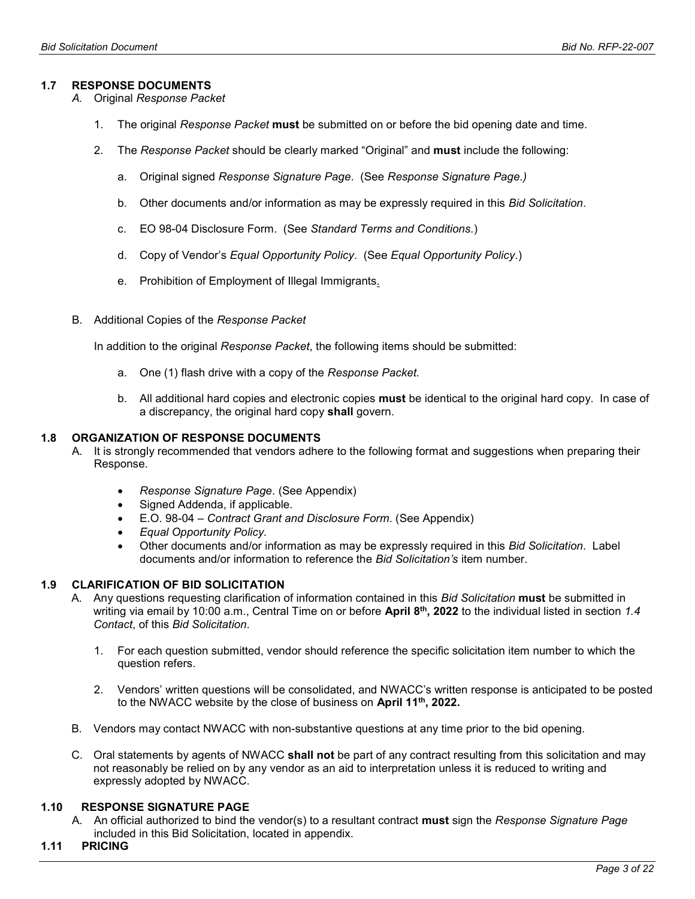## 1.7 RESPONSE DOCUMENTS

- A. Original Response Packet
	- 1. The original Response Packet must be submitted on or before the bid opening date and time.
	- 2. The Response Packet should be clearly marked "Original" and **must** include the following:
		- a. Original signed Response Signature Page. (See Response Signature Page.)
		- b. Other documents and/or information as may be expressly required in this *Bid Solicitation*.
		- c. EO 98-04 Disclosure Form. (See Standard Terms and Conditions.)
		- d. Copy of Vendor's Equal Opportunity Policy. (See Equal Opportunity Policy.)
		- e. Prohibition of Employment of Illegal Immigrants.
- B. Additional Copies of the Response Packet

In addition to the original Response Packet, the following items should be submitted:

- a. One (1) flash drive with a copy of the Response Packet.
- b. All additional hard copies and electronic copies must be identical to the original hard copy. In case of a discrepancy, the original hard copy shall govern.

#### 1.8 ORGANIZATION OF RESPONSE DOCUMENTS

- A. It is strongly recommended that vendors adhere to the following format and suggestions when preparing their Response.
	- Response Signature Page. (See Appendix)
	- Signed Addenda, if applicable.
	- E.O. 98-04 Contract Grant and Disclosure Form. (See Appendix)
	- Equal Opportunity Policy.
	- Other documents and/or information as may be expressly required in this Bid Solicitation. Label documents and/or information to reference the Bid Solicitation's item number.

#### 1.9 CLARIFICATION OF BID SOLICITATION

- A. Any questions requesting clarification of information contained in this Bid Solicitation must be submitted in writing via email by 10:00 a.m., Central Time on or before April 8<sup>th</sup>, 2022 to the individual listed in section 1.4 Contact, of this Bid Solicitation.
	- 1. For each question submitted, vendor should reference the specific solicitation item number to which the question refers.
	- 2. Vendors' written questions will be consolidated, and NWACC's written response is anticipated to be posted to the NWACC website by the close of business on April 11<sup>th</sup>, 2022.
- B. Vendors may contact NWACC with non-substantive questions at any time prior to the bid opening.
- C. Oral statements by agents of NWACC **shall not** be part of any contract resulting from this solicitation and may not reasonably be relied on by any vendor as an aid to interpretation unless it is reduced to writing and expressly adopted by NWACC.

## 1.10 RESPONSE SIGNATURE PAGE

- A. An official authorized to bind the vendor(s) to a resultant contract must sign the Response Signature Page included in this Bid Solicitation, located in appendix.
- 1.11 PRICING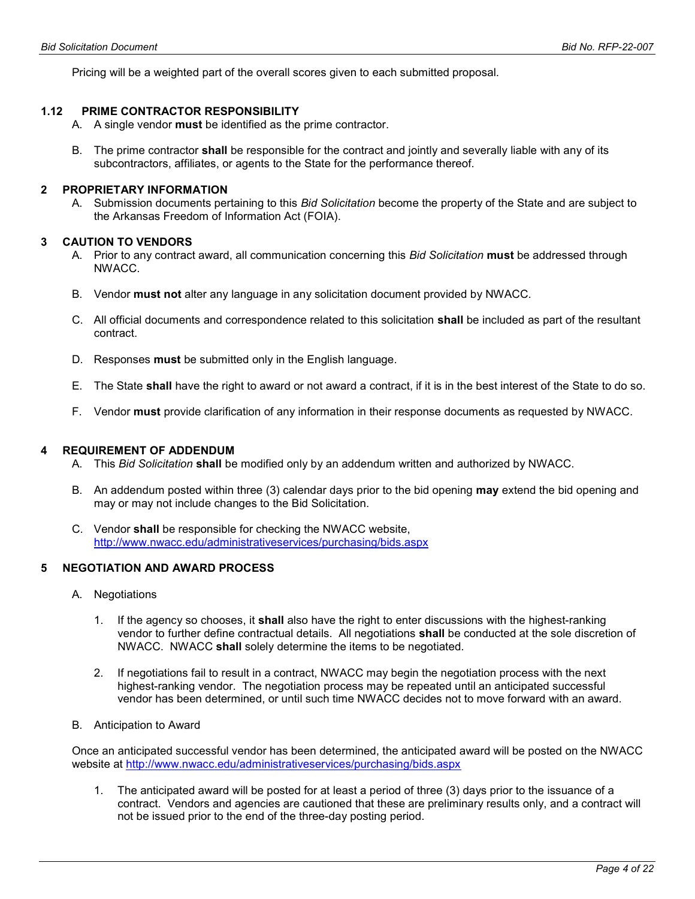Pricing will be a weighted part of the overall scores given to each submitted proposal.

## 1.12 PRIME CONTRACTOR RESPONSIBILITY

- A. A single vendor must be identified as the prime contractor.
- B. The prime contractor **shall** be responsible for the contract and jointly and severally liable with any of its subcontractors, affiliates, or agents to the State for the performance thereof.

#### 2 PROPRIETARY INFORMATION

A. Submission documents pertaining to this Bid Solicitation become the property of the State and are subject to the Arkansas Freedom of Information Act (FOIA).

#### 3 CAUTION TO VENDORS

- A. Prior to any contract award, all communication concerning this Bid Solicitation must be addressed through NWACC.
- B. Vendor must not alter any language in any solicitation document provided by NWACC.
- C. All official documents and correspondence related to this solicitation shall be included as part of the resultant contract.
- D. Responses **must** be submitted only in the English language.
- E. The State shall have the right to award or not award a contract, if it is in the best interest of the State to do so.
- F. Vendor must provide clarification of any information in their response documents as requested by NWACC.

#### 4 REQUIREMENT OF ADDENDUM

- A. This Bid Solicitation shall be modified only by an addendum written and authorized by NWACC.
- B. An addendum posted within three (3) calendar days prior to the bid opening **may** extend the bid opening and may or may not include changes to the Bid Solicitation.
- C. Vendor shall be responsible for checking the NWACC website, http://www.nwacc.edu/administrativeservices/purchasing/bids.aspx

# 5 NEGOTIATION AND AWARD PROCESS

- A. Negotiations
	- 1. If the agency so chooses, it **shall** also have the right to enter discussions with the highest-ranking vendor to further define contractual details. All negotiations shall be conducted at the sole discretion of NWACC. NWACC shall solely determine the items to be negotiated.
	- 2. If negotiations fail to result in a contract, NWACC may begin the negotiation process with the next highest-ranking vendor. The negotiation process may be repeated until an anticipated successful vendor has been determined, or until such time NWACC decides not to move forward with an award.
- B. Anticipation to Award

Once an anticipated successful vendor has been determined, the anticipated award will be posted on the NWACC website at http://www.nwacc.edu/administrativeservices/purchasing/bids.aspx

1. The anticipated award will be posted for at least a period of three (3) days prior to the issuance of a contract. Vendors and agencies are cautioned that these are preliminary results only, and a contract will not be issued prior to the end of the three-day posting period.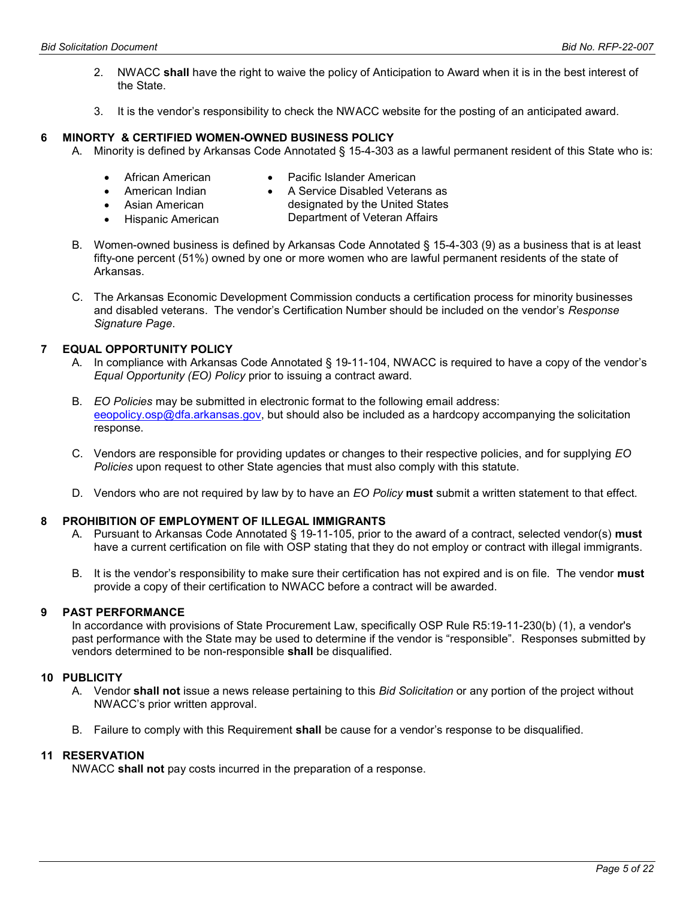- 2. NWACC shall have the right to waive the policy of Anticipation to Award when it is in the best interest of the State.
- 3. It is the vendor's responsibility to check the NWACC website for the posting of an anticipated award.

#### 6 MINORTY & CERTIFIED WOMEN-OWNED BUSINESS POLICY

- A. Minority is defined by Arkansas Code Annotated § 15-4-303 as a lawful permanent resident of this State who is:
	- African American
- Pacific Islander American
- American Indian
- A Service Disabled Veterans as
- Asian American
- designated by the United States
- Hispanic American
- Department of Veteran Affairs
- B. Women-owned business is defined by Arkansas Code Annotated § 15-4-303 (9) as a business that is at least fifty-one percent (51%) owned by one or more women who are lawful permanent residents of the state of Arkansas.
- C. The Arkansas Economic Development Commission conducts a certification process for minority businesses and disabled veterans. The vendor's Certification Number should be included on the vendor's Response Signature Page.

# 7 EQUAL OPPORTUNITY POLICY

- A. In compliance with Arkansas Code Annotated § 19-11-104, NWACC is required to have a copy of the vendor's Equal Opportunity (EO) Policy prior to issuing a contract award.
- B. EO Policies may be submitted in electronic format to the following email address: eeopolicy.osp@dfa.arkansas.gov, but should also be included as a hardcopy accompanying the solicitation response.
- C. Vendors are responsible for providing updates or changes to their respective policies, and for supplying EO Policies upon request to other State agencies that must also comply with this statute.
- D. Vendors who are not required by law by to have an EO Policy must submit a written statement to that effect.

## 8 PROHIBITION OF EMPLOYMENT OF ILLEGAL IMMIGRANTS

- A. Pursuant to Arkansas Code Annotated § 19-11-105, prior to the award of a contract, selected vendor(s) must have a current certification on file with OSP stating that they do not employ or contract with illegal immigrants.
- B. It is the vendor's responsibility to make sure their certification has not expired and is on file. The vendor must provide a copy of their certification to NWACC before a contract will be awarded.

# 9 PAST PERFORMANCE

In accordance with provisions of State Procurement Law, specifically OSP Rule R5:19-11-230(b) (1), a vendor's past performance with the State may be used to determine if the vendor is "responsible". Responses submitted by vendors determined to be non-responsible shall be disqualified.

## 10 PUBLICITY

- A. Vendor shall not issue a news release pertaining to this Bid Solicitation or any portion of the project without NWACC's prior written approval.
- B. Failure to comply with this Requirement shall be cause for a vendor's response to be disqualified.

# 11 RESERVATION

NWACC shall not pay costs incurred in the preparation of a response.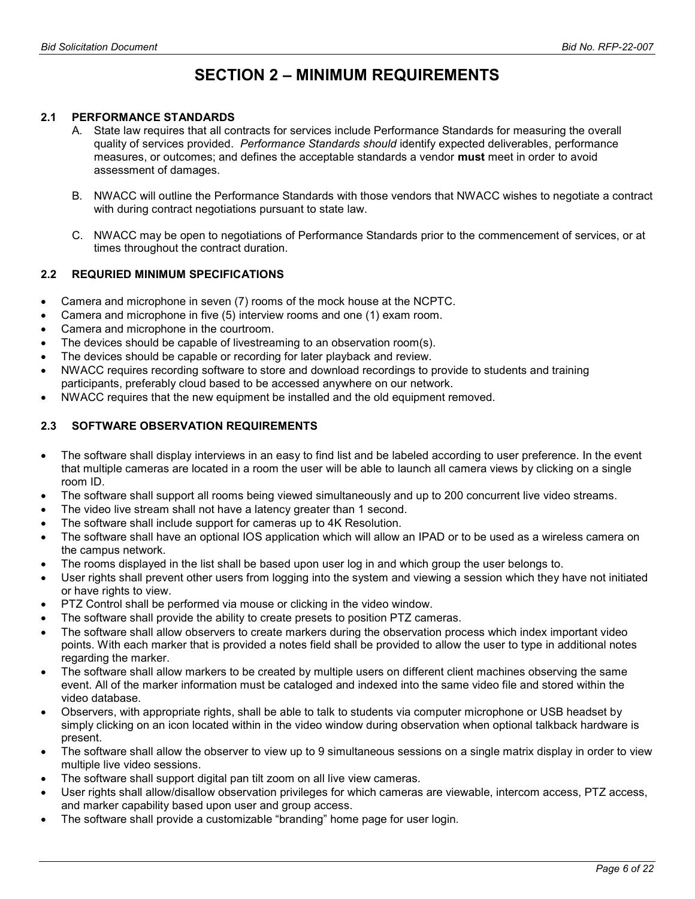# SECTION 2 – MINIMUM REQUIREMENTS

# 2.1 PERFORMANCE STANDARDS

- A. State law requires that all contracts for services include Performance Standards for measuring the overall quality of services provided. Performance Standards should identify expected deliverables, performance measures, or outcomes; and defines the acceptable standards a vendor must meet in order to avoid assessment of damages.
- B. NWACC will outline the Performance Standards with those vendors that NWACC wishes to negotiate a contract with during contract negotiations pursuant to state law.
- C. NWACC may be open to negotiations of Performance Standards prior to the commencement of services, or at times throughout the contract duration.

# 2.2 REQURIED MINIMUM SPECIFICATIONS

- Camera and microphone in seven (7) rooms of the mock house at the NCPTC.
- Camera and microphone in five (5) interview rooms and one (1) exam room.
- Camera and microphone in the courtroom.
- The devices should be capable of livestreaming to an observation room(s).
- The devices should be capable or recording for later playback and review.
- NWACC requires recording software to store and download recordings to provide to students and training participants, preferably cloud based to be accessed anywhere on our network.
- NWACC requires that the new equipment be installed and the old equipment removed.

# 2.3 SOFTWARE OBSERVATION REQUIREMENTS

- The software shall display interviews in an easy to find list and be labeled according to user preference. In the event that multiple cameras are located in a room the user will be able to launch all camera views by clicking on a single room ID.
- The software shall support all rooms being viewed simultaneously and up to 200 concurrent live video streams.
- The video live stream shall not have a latency greater than 1 second.
- The software shall include support for cameras up to 4K Resolution.
- The software shall have an optional IOS application which will allow an IPAD or to be used as a wireless camera on the campus network.
- The rooms displayed in the list shall be based upon user log in and which group the user belongs to.
- User rights shall prevent other users from logging into the system and viewing a session which they have not initiated or have rights to view.
- PTZ Control shall be performed via mouse or clicking in the video window.
- The software shall provide the ability to create presets to position PTZ cameras.
- The software shall allow observers to create markers during the observation process which index important video points. With each marker that is provided a notes field shall be provided to allow the user to type in additional notes regarding the marker.
- The software shall allow markers to be created by multiple users on different client machines observing the same event. All of the marker information must be cataloged and indexed into the same video file and stored within the video database.
- Observers, with appropriate rights, shall be able to talk to students via computer microphone or USB headset by simply clicking on an icon located within in the video window during observation when optional talkback hardware is present.
- The software shall allow the observer to view up to 9 simultaneous sessions on a single matrix display in order to view multiple live video sessions.
- The software shall support digital pan tilt zoom on all live view cameras.
- User rights shall allow/disallow observation privileges for which cameras are viewable, intercom access, PTZ access, and marker capability based upon user and group access.
- The software shall provide a customizable "branding" home page for user login.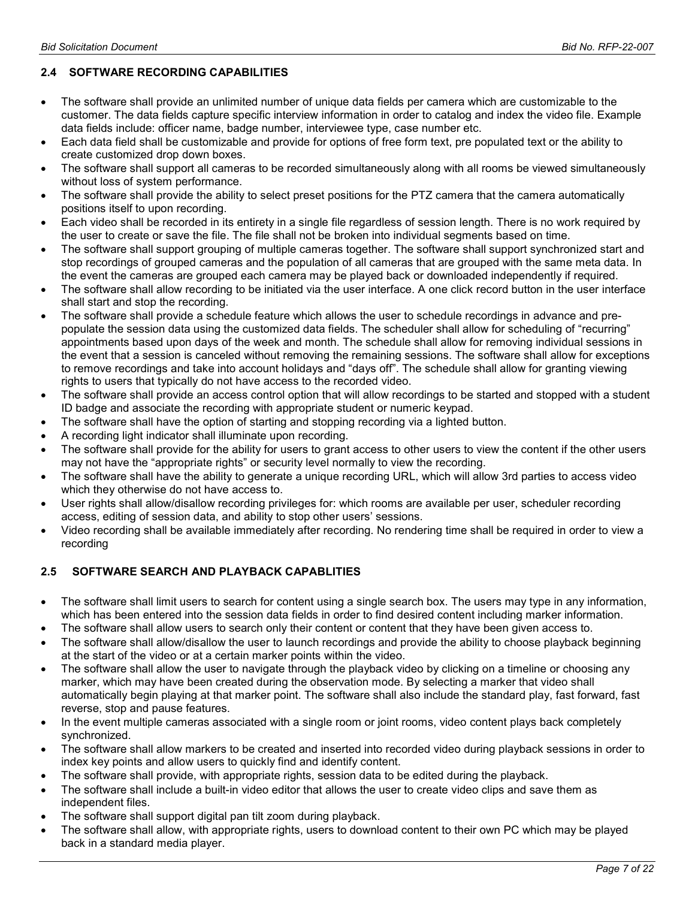# 2.4 SOFTWARE RECORDING CAPABILITIES

- The software shall provide an unlimited number of unique data fields per camera which are customizable to the customer. The data fields capture specific interview information in order to catalog and index the video file. Example data fields include: officer name, badge number, interviewee type, case number etc.
- Each data field shall be customizable and provide for options of free form text, pre populated text or the ability to create customized drop down boxes.
- The software shall support all cameras to be recorded simultaneously along with all rooms be viewed simultaneously without loss of system performance.
- The software shall provide the ability to select preset positions for the PTZ camera that the camera automatically positions itself to upon recording.
- Each video shall be recorded in its entirety in a single file regardless of session length. There is no work required by the user to create or save the file. The file shall not be broken into individual segments based on time.
- The software shall support grouping of multiple cameras together. The software shall support synchronized start and stop recordings of grouped cameras and the population of all cameras that are grouped with the same meta data. In the event the cameras are grouped each camera may be played back or downloaded independently if required.
- The software shall allow recording to be initiated via the user interface. A one click record button in the user interface shall start and stop the recording.
- The software shall provide a schedule feature which allows the user to schedule recordings in advance and prepopulate the session data using the customized data fields. The scheduler shall allow for scheduling of "recurring" appointments based upon days of the week and month. The schedule shall allow for removing individual sessions in the event that a session is canceled without removing the remaining sessions. The software shall allow for exceptions to remove recordings and take into account holidays and "days off". The schedule shall allow for granting viewing rights to users that typically do not have access to the recorded video.
- The software shall provide an access control option that will allow recordings to be started and stopped with a student ID badge and associate the recording with appropriate student or numeric keypad.
- The software shall have the option of starting and stopping recording via a lighted button.
- A recording light indicator shall illuminate upon recording.
- The software shall provide for the ability for users to grant access to other users to view the content if the other users may not have the "appropriate rights" or security level normally to view the recording.
- The software shall have the ability to generate a unique recording URL, which will allow 3rd parties to access video which they otherwise do not have access to.
- User rights shall allow/disallow recording privileges for: which rooms are available per user, scheduler recording access, editing of session data, and ability to stop other users' sessions.
- Video recording shall be available immediately after recording. No rendering time shall be required in order to view a recording

# 2.5 SOFTWARE SEARCH AND PLAYBACK CAPABLITIES

- The software shall limit users to search for content using a single search box. The users may type in any information, which has been entered into the session data fields in order to find desired content including marker information.
- The software shall allow users to search only their content or content that they have been given access to.
- The software shall allow/disallow the user to launch recordings and provide the ability to choose playback beginning at the start of the video or at a certain marker points within the video.
- The software shall allow the user to navigate through the playback video by clicking on a timeline or choosing any marker, which may have been created during the observation mode. By selecting a marker that video shall automatically begin playing at that marker point. The software shall also include the standard play, fast forward, fast reverse, stop and pause features.
- In the event multiple cameras associated with a single room or joint rooms, video content plays back completely synchronized.
- The software shall allow markers to be created and inserted into recorded video during playback sessions in order to index key points and allow users to quickly find and identify content.
- The software shall provide, with appropriate rights, session data to be edited during the playback.
- The software shall include a built-in video editor that allows the user to create video clips and save them as independent files.
- The software shall support digital pan tilt zoom during playback.
- The software shall allow, with appropriate rights, users to download content to their own PC which may be played back in a standard media player.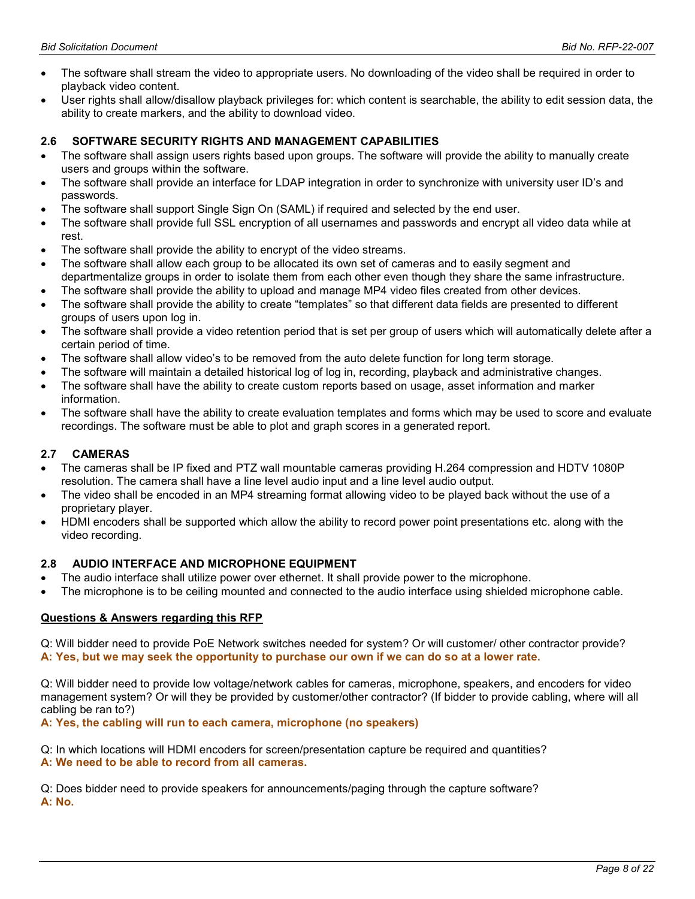- The software shall stream the video to appropriate users. No downloading of the video shall be required in order to playback video content.
- User rights shall allow/disallow playback privileges for: which content is searchable, the ability to edit session data, the ability to create markers, and the ability to download video.

# 2.6 SOFTWARE SECURITY RIGHTS AND MANAGEMENT CAPABILITIES

- The software shall assign users rights based upon groups. The software will provide the ability to manually create users and groups within the software.
- The software shall provide an interface for LDAP integration in order to synchronize with university user ID's and passwords.
- The software shall support Single Sign On (SAML) if required and selected by the end user.
- The software shall provide full SSL encryption of all usernames and passwords and encrypt all video data while at rest.
- The software shall provide the ability to encrypt of the video streams.
- The software shall allow each group to be allocated its own set of cameras and to easily segment and departmentalize groups in order to isolate them from each other even though they share the same infrastructure.
- The software shall provide the ability to upload and manage MP4 video files created from other devices.
- The software shall provide the ability to create "templates" so that different data fields are presented to different groups of users upon log in.
- The software shall provide a video retention period that is set per group of users which will automatically delete after a certain period of time.
- The software shall allow video's to be removed from the auto delete function for long term storage.
- The software will maintain a detailed historical log of log in, recording, playback and administrative changes.
- The software shall have the ability to create custom reports based on usage, asset information and marker information.
- The software shall have the ability to create evaluation templates and forms which may be used to score and evaluate recordings. The software must be able to plot and graph scores in a generated report.

## 2.7 CAMERAS

- The cameras shall be IP fixed and PTZ wall mountable cameras providing H.264 compression and HDTV 1080P resolution. The camera shall have a line level audio input and a line level audio output.
- The video shall be encoded in an MP4 streaming format allowing video to be played back without the use of a proprietary player.
- HDMI encoders shall be supported which allow the ability to record power point presentations etc. along with the video recording.

## 2.8 AUDIO INTERFACE AND MICROPHONE EQUIPMENT

- The audio interface shall utilize power over ethernet. It shall provide power to the microphone.
- The microphone is to be ceiling mounted and connected to the audio interface using shielded microphone cable.

## Questions & Answers regarding this RFP

Q: Will bidder need to provide PoE Network switches needed for system? Or will customer/ other contractor provide? A: Yes, but we may seek the opportunity to purchase our own if we can do so at a lower rate.

Q: Will bidder need to provide low voltage/network cables for cameras, microphone, speakers, and encoders for video management system? Or will they be provided by customer/other contractor? (If bidder to provide cabling, where will all cabling be ran to?)

A: Yes, the cabling will run to each camera, microphone (no speakers)

Q: In which locations will HDMI encoders for screen/presentation capture be required and quantities? A: We need to be able to record from all cameras.

Q: Does bidder need to provide speakers for announcements/paging through the capture software? A: No.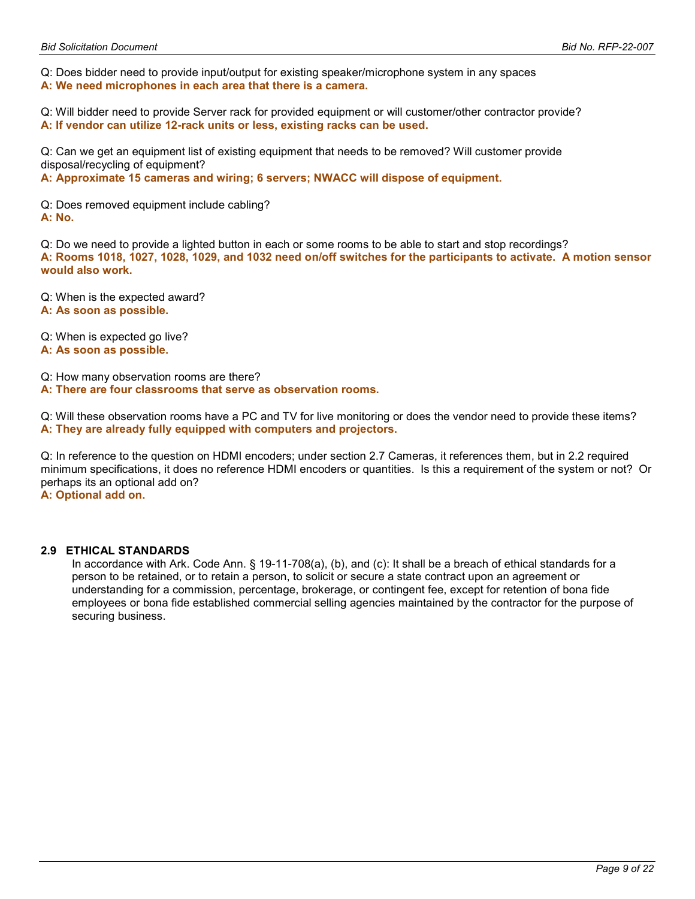Q: Does bidder need to provide input/output for existing speaker/microphone system in any spaces

A: We need microphones in each area that there is a camera.

Q: Will bidder need to provide Server rack for provided equipment or will customer/other contractor provide? A: If vendor can utilize 12-rack units or less, existing racks can be used.

Q: Can we get an equipment list of existing equipment that needs to be removed? Will customer provide disposal/recycling of equipment?

A: Approximate 15 cameras and wiring; 6 servers; NWACC will dispose of equipment.

Q: Does removed equipment include cabling? A: No.

Q: Do we need to provide a lighted button in each or some rooms to be able to start and stop recordings? A: Rooms 1018, 1027, 1028, 1029, and 1032 need on/off switches for the participants to activate. A motion sensor would also work.

Q: When is the expected award? A: As soon as possible.

Q: When is expected go live?

A: As soon as possible.

Q: How many observation rooms are there?

A: There are four classrooms that serve as observation rooms.

Q: Will these observation rooms have a PC and TV for live monitoring or does the vendor need to provide these items? A: They are already fully equipped with computers and projectors.

Q: In reference to the question on HDMI encoders; under section 2.7 Cameras, it references them, but in 2.2 required minimum specifications, it does no reference HDMI encoders or quantities. Is this a requirement of the system or not? Or perhaps its an optional add on?

A: Optional add on.

# 2.9 ETHICAL STANDARDS

In accordance with Ark. Code Ann. § 19-11-708(a), (b), and (c): It shall be a breach of ethical standards for a person to be retained, or to retain a person, to solicit or secure a state contract upon an agreement or understanding for a commission, percentage, brokerage, or contingent fee, except for retention of bona fide employees or bona fide established commercial selling agencies maintained by the contractor for the purpose of securing business.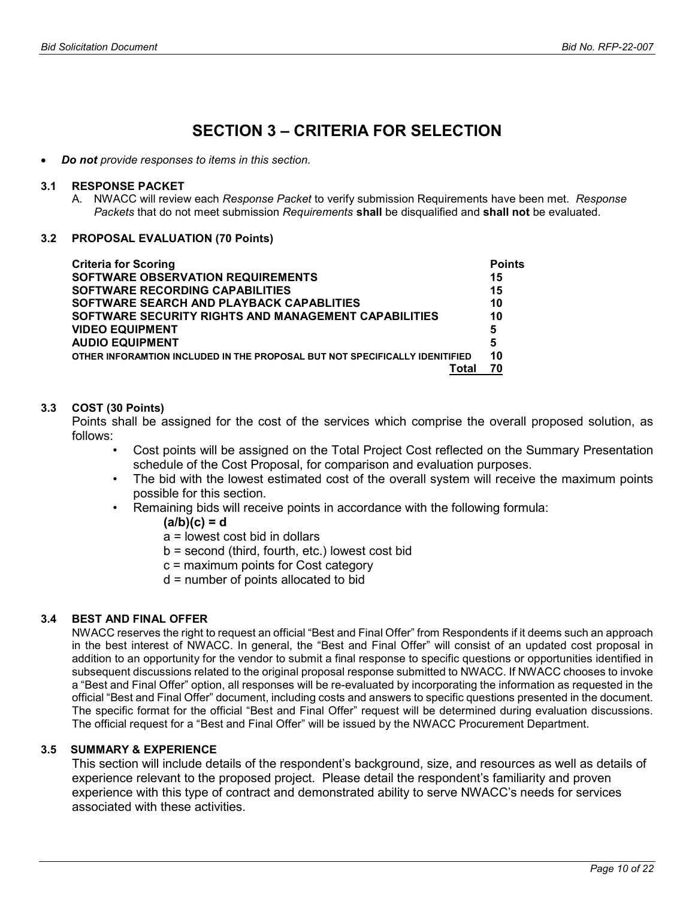# SECTION 3 – CRITERIA FOR SELECTION

Do not provide responses to items in this section.

#### 3.1 RESPONSE PACKET

A. NWACC will review each Response Packet to verify submission Requirements have been met. Response Packets that do not meet submission Requirements shall be disqualified and shall not be evaluated.

## 3.2 PROPOSAL EVALUATION (70 Points)

| <b>Criteria for Scoring</b>                                                 | <b>Points</b> |
|-----------------------------------------------------------------------------|---------------|
| SOFTWARE OBSERVATION REQUIREMENTS                                           | 15            |
| <b>SOFTWARE RECORDING CAPABILITIES</b>                                      | 15            |
| SOFTWARE SEARCH AND PLAYBACK CAPABLITIES                                    | 10            |
| SOFTWARE SECURITY RIGHTS AND MANAGEMENT CAPABILITIES                        | 10            |
| <b>VIDEO EQUIPMENT</b>                                                      | 5             |
| <b>AUDIO EQUIPMENT</b>                                                      | 5             |
| OTHER INFORAMTION INCLUDED IN THE PROPOSAL BUT NOT SPECIFICALLY IDENITIFIED | 10            |
| Total                                                                       | 70            |

# 3.3 COST (30 Points)

Points shall be assigned for the cost of the services which comprise the overall proposed solution, as follows:

- Cost points will be assigned on the Total Project Cost reflected on the Summary Presentation schedule of the Cost Proposal, for comparison and evaluation purposes.
- The bid with the lowest estimated cost of the overall system will receive the maximum points possible for this section.
- Remaining bids will receive points in accordance with the following formula:
	- $(a/b)(c) = d$
	- a = lowest cost bid in dollars
	- b = second (third, fourth, etc.) lowest cost bid
	- c = maximum points for Cost category
	- d = number of points allocated to bid

# 3.4 BEST AND FINAL OFFER

NWACC reserves the right to request an official "Best and Final Offer" from Respondents if it deems such an approach in the best interest of NWACC. In general, the "Best and Final Offer" will consist of an updated cost proposal in addition to an opportunity for the vendor to submit a final response to specific questions or opportunities identified in subsequent discussions related to the original proposal response submitted to NWACC. If NWACC chooses to invoke a "Best and Final Offer" option, all responses will be re-evaluated by incorporating the information as requested in the official "Best and Final Offer" document, including costs and answers to specific questions presented in the document. The specific format for the official "Best and Final Offer" request will be determined during evaluation discussions. The official request for a "Best and Final Offer" will be issued by the NWACC Procurement Department.

# 3.5 SUMMARY & EXPERIENCE

This section will include details of the respondent's background, size, and resources as well as details of experience relevant to the proposed project. Please detail the respondent's familiarity and proven experience with this type of contract and demonstrated ability to serve NWACC's needs for services associated with these activities.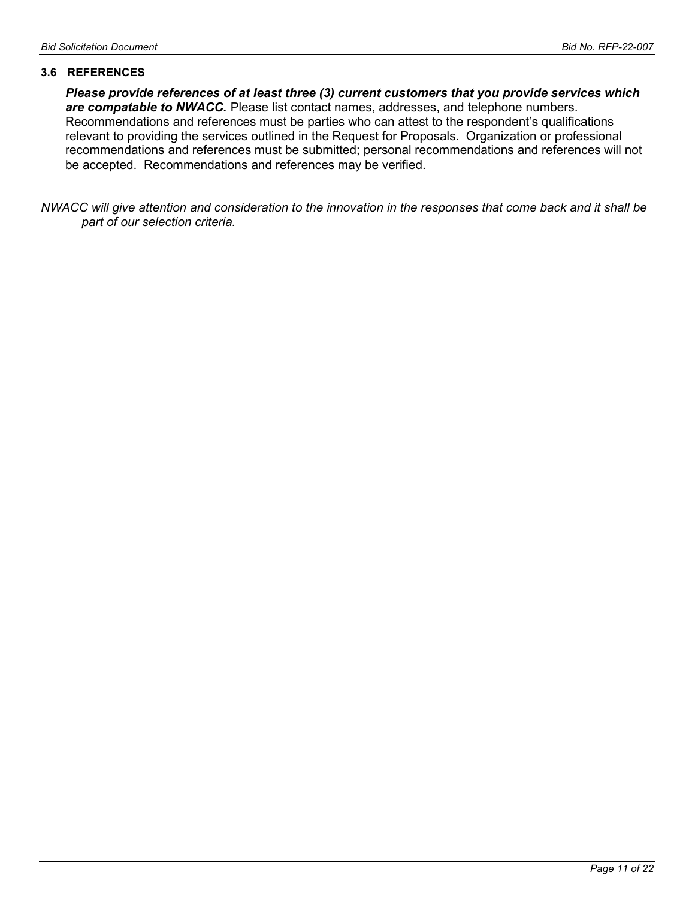## 3.6 REFERENCES

Please provide references of at least three (3) current customers that you provide services which are compatable to NWACC. Please list contact names, addresses, and telephone numbers. Recommendations and references must be parties who can attest to the respondent's qualifications relevant to providing the services outlined in the Request for Proposals. Organization or professional recommendations and references must be submitted; personal recommendations and references will not be accepted. Recommendations and references may be verified.

NWACC will give attention and consideration to the innovation in the responses that come back and it shall be part of our selection criteria.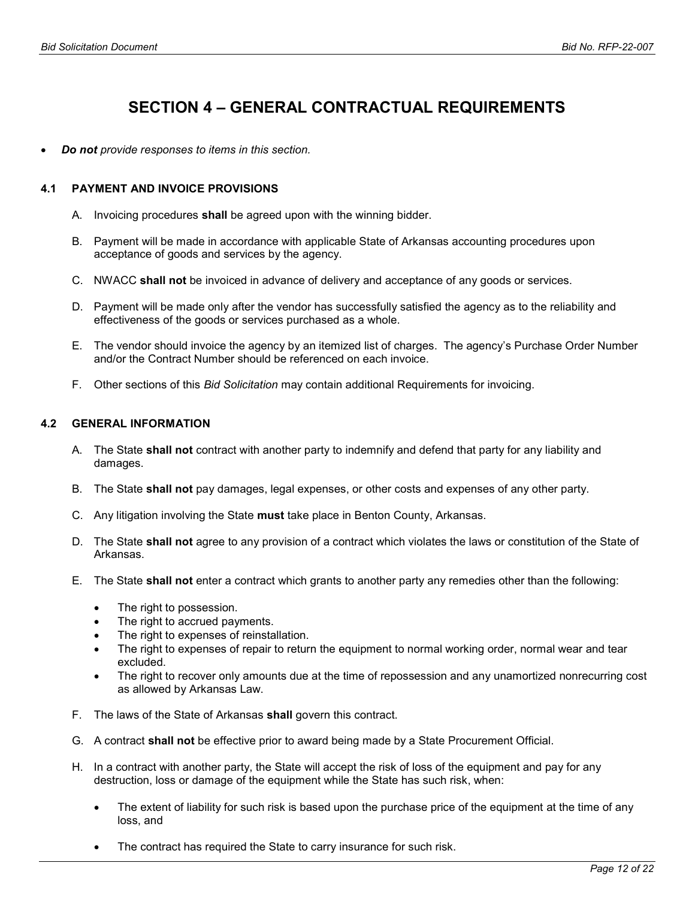# SECTION 4 – GENERAL CONTRACTUAL REQUIREMENTS

Do not provide responses to items in this section.

# 4.1 PAYMENT AND INVOICE PROVISIONS

- A. Invoicing procedures shall be agreed upon with the winning bidder.
- B. Payment will be made in accordance with applicable State of Arkansas accounting procedures upon acceptance of goods and services by the agency.
- C. NWACC shall not be invoiced in advance of delivery and acceptance of any goods or services.
- D. Payment will be made only after the vendor has successfully satisfied the agency as to the reliability and effectiveness of the goods or services purchased as a whole.
- E. The vendor should invoice the agency by an itemized list of charges. The agency's Purchase Order Number and/or the Contract Number should be referenced on each invoice.
- F. Other sections of this Bid Solicitation may contain additional Requirements for invoicing.

# 4.2 GENERAL INFORMATION

- A. The State shall not contract with another party to indemnify and defend that party for any liability and damages.
- B. The State **shall not** pay damages, legal expenses, or other costs and expenses of any other party.
- C. Any litigation involving the State must take place in Benton County, Arkansas.
- D. The State shall not agree to any provision of a contract which violates the laws or constitution of the State of Arkansas.
- E. The State shall not enter a contract which grants to another party any remedies other than the following:
	- The right to possession.
	- The right to accrued payments.
	- The right to expenses of reinstallation.
	- The right to expenses of repair to return the equipment to normal working order, normal wear and tear excluded.
	- The right to recover only amounts due at the time of repossession and any unamortized nonrecurring cost as allowed by Arkansas Law.
- F. The laws of the State of Arkansas shall govern this contract.
- G. A contract shall not be effective prior to award being made by a State Procurement Official.
- H. In a contract with another party, the State will accept the risk of loss of the equipment and pay for any destruction, loss or damage of the equipment while the State has such risk, when:
	- The extent of liability for such risk is based upon the purchase price of the equipment at the time of any loss, and
	- The contract has required the State to carry insurance for such risk.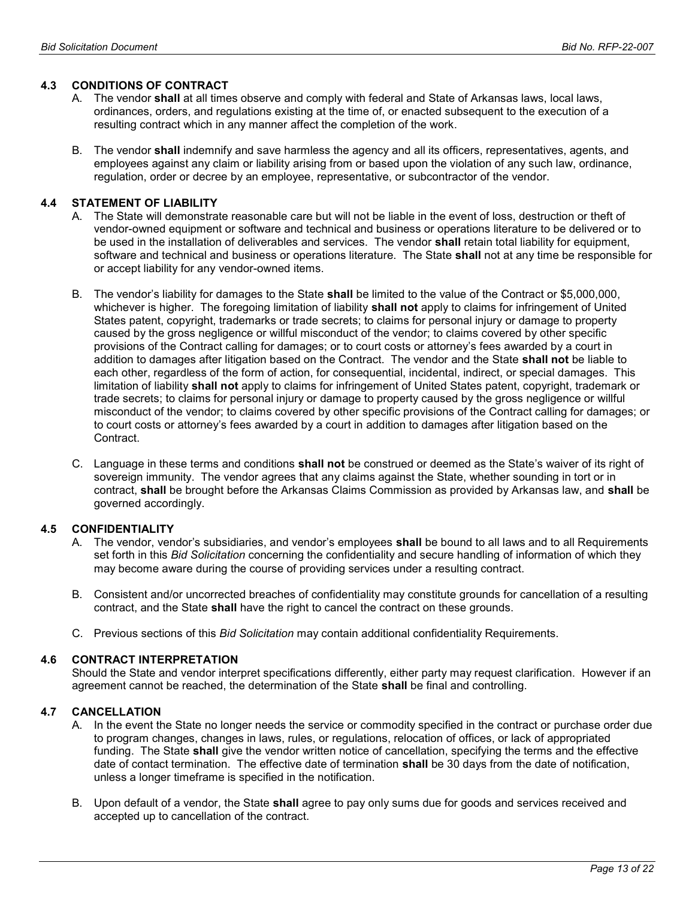# 4.3 CONDITIONS OF CONTRACT

- A. The vendor **shall** at all times observe and comply with federal and State of Arkansas laws, local laws, ordinances, orders, and regulations existing at the time of, or enacted subsequent to the execution of a resulting contract which in any manner affect the completion of the work.
- B. The vendor shall indemnify and save harmless the agency and all its officers, representatives, agents, and employees against any claim or liability arising from or based upon the violation of any such law, ordinance, regulation, order or decree by an employee, representative, or subcontractor of the vendor.

# 4.4 STATEMENT OF LIABILITY

- A. The State will demonstrate reasonable care but will not be liable in the event of loss, destruction or theft of vendor-owned equipment or software and technical and business or operations literature to be delivered or to be used in the installation of deliverables and services. The vendor shall retain total liability for equipment, software and technical and business or operations literature. The State shall not at any time be responsible for or accept liability for any vendor-owned items.
- B. The vendor's liability for damages to the State shall be limited to the value of the Contract or \$5,000,000, whichever is higher. The foregoing limitation of liability shall not apply to claims for infringement of United States patent, copyright, trademarks or trade secrets; to claims for personal injury or damage to property caused by the gross negligence or willful misconduct of the vendor; to claims covered by other specific provisions of the Contract calling for damages; or to court costs or attorney's fees awarded by a court in addition to damages after litigation based on the Contract. The vendor and the State shall not be liable to each other, regardless of the form of action, for consequential, incidental, indirect, or special damages. This limitation of liability shall not apply to claims for infringement of United States patent, copyright, trademark or trade secrets; to claims for personal injury or damage to property caused by the gross negligence or willful misconduct of the vendor; to claims covered by other specific provisions of the Contract calling for damages; or to court costs or attorney's fees awarded by a court in addition to damages after litigation based on the Contract.
- C. Language in these terms and conditions shall not be construed or deemed as the State's waiver of its right of sovereign immunity. The vendor agrees that any claims against the State, whether sounding in tort or in contract, shall be brought before the Arkansas Claims Commission as provided by Arkansas law, and shall be governed accordingly.

## 4.5 CONFIDENTIALITY

- A. The vendor, vendor's subsidiaries, and vendor's employees **shall** be bound to all laws and to all Requirements set forth in this Bid Solicitation concerning the confidentiality and secure handling of information of which they may become aware during the course of providing services under a resulting contract.
- B. Consistent and/or uncorrected breaches of confidentiality may constitute grounds for cancellation of a resulting contract, and the State shall have the right to cancel the contract on these grounds.
- C. Previous sections of this Bid Solicitation may contain additional confidentiality Requirements.

## 4.6 CONTRACT INTERPRETATION

Should the State and vendor interpret specifications differently, either party may request clarification. However if an agreement cannot be reached, the determination of the State shall be final and controlling.

# 4.7 CANCELLATION

- A. In the event the State no longer needs the service or commodity specified in the contract or purchase order due to program changes, changes in laws, rules, or regulations, relocation of offices, or lack of appropriated funding. The State shall give the vendor written notice of cancellation, specifying the terms and the effective date of contact termination. The effective date of termination shall be 30 days from the date of notification, unless a longer timeframe is specified in the notification.
- B. Upon default of a vendor, the State shall agree to pay only sums due for goods and services received and accepted up to cancellation of the contract.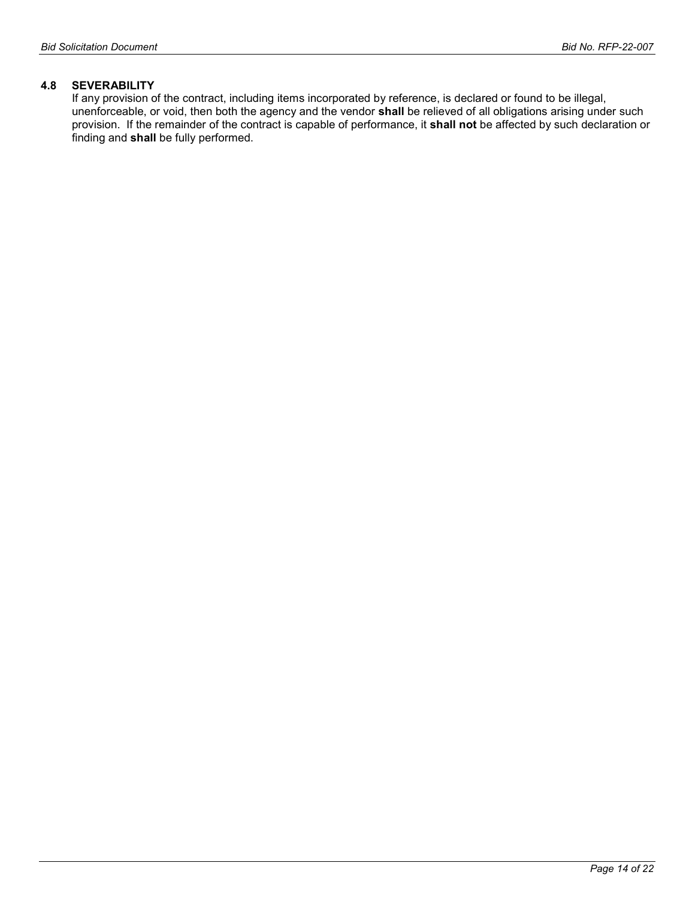## 4.8 SEVERABILITY

If any provision of the contract, including items incorporated by reference, is declared or found to be illegal, unenforceable, or void, then both the agency and the vendor shall be relieved of all obligations arising under such provision. If the remainder of the contract is capable of performance, it shall not be affected by such declaration or finding and shall be fully performed.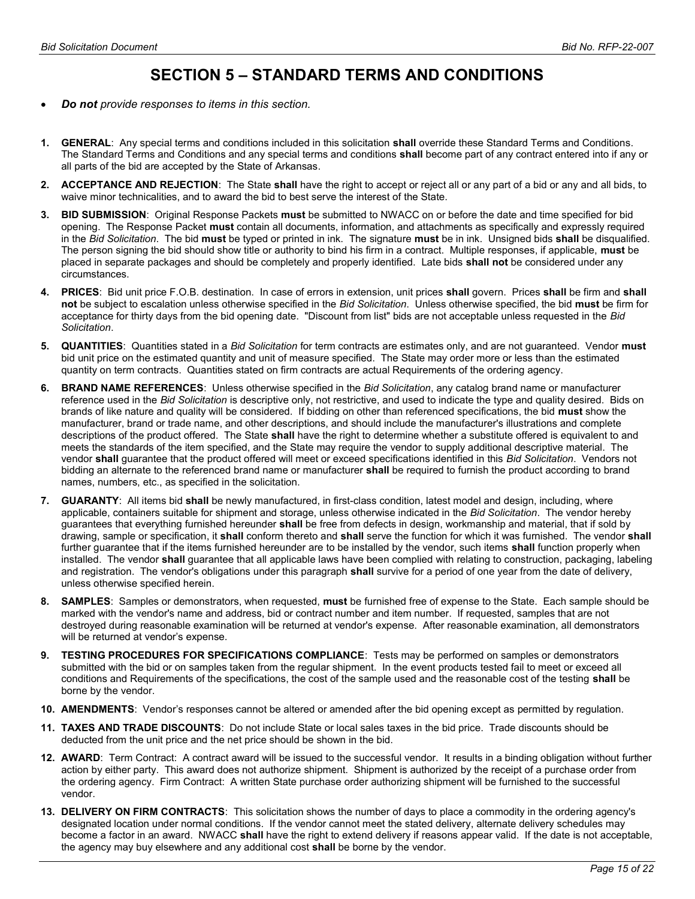# SECTION 5 – STANDARD TERMS AND CONDITIONS

- Do not provide responses to items in this section.
- 1. GENERAL: Any special terms and conditions included in this solicitation shall override these Standard Terms and Conditions. The Standard Terms and Conditions and any special terms and conditions shall become part of any contract entered into if any or all parts of the bid are accepted by the State of Arkansas.
- 2. ACCEPTANCE AND REJECTION: The State shall have the right to accept or reject all or any part of a bid or any and all bids, to waive minor technicalities, and to award the bid to best serve the interest of the State.
- 3. BID SUBMISSION: Original Response Packets must be submitted to NWACC on or before the date and time specified for bid opening. The Response Packet must contain all documents, information, and attachments as specifically and expressly required in the Bid Solicitation. The bid must be typed or printed in ink. The signature must be in ink. Unsigned bids shall be disqualified. The person signing the bid should show title or authority to bind his firm in a contract. Multiple responses, if applicable, must be placed in separate packages and should be completely and properly identified. Late bids shall not be considered under any circumstances.
- 4. PRICES: Bid unit price F.O.B. destination. In case of errors in extension, unit prices shall govern. Prices shall be firm and shall not be subject to escalation unless otherwise specified in the Bid Solicitation. Unless otherwise specified, the bid must be firm for acceptance for thirty days from the bid opening date. "Discount from list" bids are not acceptable unless requested in the Bid Solicitation.
- 5. QUANTITIES: Quantities stated in a Bid Solicitation for term contracts are estimates only, and are not guaranteed. Vendor must bid unit price on the estimated quantity and unit of measure specified. The State may order more or less than the estimated quantity on term contracts. Quantities stated on firm contracts are actual Requirements of the ordering agency.
- 6. BRAND NAME REFERENCES: Unless otherwise specified in the Bid Solicitation, any catalog brand name or manufacturer reference used in the Bid Solicitation is descriptive only, not restrictive, and used to indicate the type and quality desired. Bids on brands of like nature and quality will be considered. If bidding on other than referenced specifications, the bid must show the manufacturer, brand or trade name, and other descriptions, and should include the manufacturer's illustrations and complete descriptions of the product offered. The State shall have the right to determine whether a substitute offered is equivalent to and meets the standards of the item specified, and the State may require the vendor to supply additional descriptive material. The vendor shall guarantee that the product offered will meet or exceed specifications identified in this Bid Solicitation. Vendors not bidding an alternate to the referenced brand name or manufacturer shall be required to furnish the product according to brand names, numbers, etc., as specified in the solicitation.
- 7. GUARANTY: All items bid shall be newly manufactured, in first-class condition, latest model and design, including, where applicable, containers suitable for shipment and storage, unless otherwise indicated in the Bid Solicitation. The vendor hereby guarantees that everything furnished hereunder shall be free from defects in design, workmanship and material, that if sold by drawing, sample or specification, it shall conform thereto and shall serve the function for which it was furnished. The vendor shall further guarantee that if the items furnished hereunder are to be installed by the vendor, such items shall function properly when installed. The vendor shall guarantee that all applicable laws have been complied with relating to construction, packaging, labeling and registration. The vendor's obligations under this paragraph shall survive for a period of one year from the date of delivery, unless otherwise specified herein.
- 8. SAMPLES: Samples or demonstrators, when requested, must be furnished free of expense to the State. Each sample should be marked with the vendor's name and address, bid or contract number and item number. If requested, samples that are not destroyed during reasonable examination will be returned at vendor's expense. After reasonable examination, all demonstrators will be returned at vendor's expense.
- 9. TESTING PROCEDURES FOR SPECIFICATIONS COMPLIANCE: Tests may be performed on samples or demonstrators submitted with the bid or on samples taken from the regular shipment. In the event products tested fail to meet or exceed all conditions and Requirements of the specifications, the cost of the sample used and the reasonable cost of the testing shall be borne by the vendor.
- 10. AMENDMENTS: Vendor's responses cannot be altered or amended after the bid opening except as permitted by regulation.
- 11. TAXES AND TRADE DISCOUNTS: Do not include State or local sales taxes in the bid price. Trade discounts should be deducted from the unit price and the net price should be shown in the bid.
- 12. AWARD: Term Contract: A contract award will be issued to the successful vendor. It results in a binding obligation without further action by either party. This award does not authorize shipment. Shipment is authorized by the receipt of a purchase order from the ordering agency. Firm Contract: A written State purchase order authorizing shipment will be furnished to the successful vendor.
- 13. DELIVERY ON FIRM CONTRACTS: This solicitation shows the number of days to place a commodity in the ordering agency's designated location under normal conditions. If the vendor cannot meet the stated delivery, alternate delivery schedules may become a factor in an award. NWACC shall have the right to extend delivery if reasons appear valid. If the date is not acceptable, the agency may buy elsewhere and any additional cost **shall** be borne by the vendor.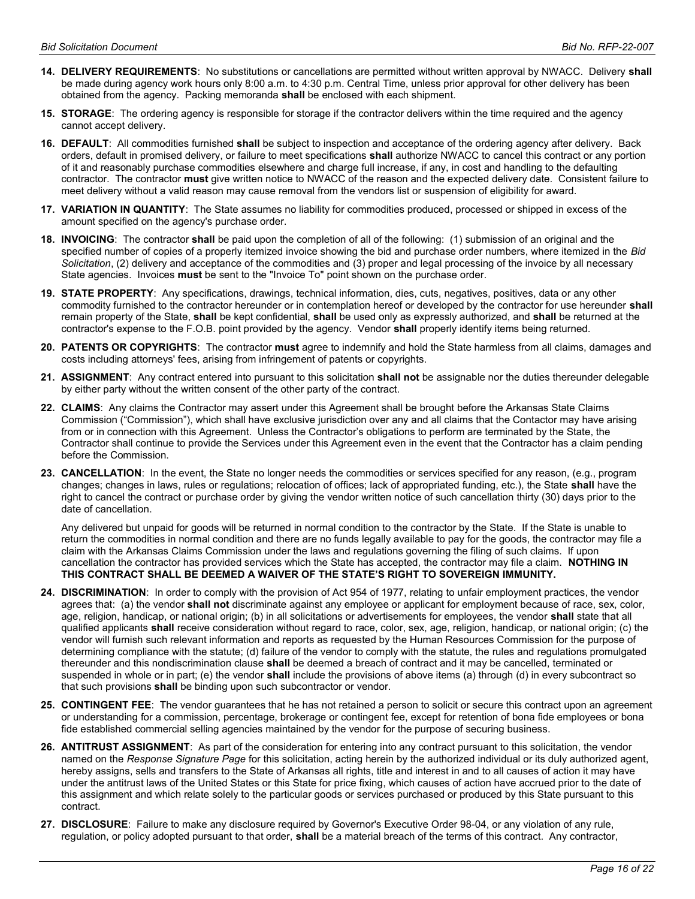- 14. DELIVERY REQUIREMENTS: No substitutions or cancellations are permitted without written approval by NWACC. Delivery shall be made during agency work hours only 8:00 a.m. to 4:30 p.m. Central Time, unless prior approval for other delivery has been obtained from the agency. Packing memoranda **shall** be enclosed with each shipment.
- 15. STORAGE: The ordering agency is responsible for storage if the contractor delivers within the time required and the agency cannot accept delivery.
- 16. DEFAULT: All commodities furnished shall be subject to inspection and acceptance of the ordering agency after delivery. Back orders, default in promised delivery, or failure to meet specifications shall authorize NWACC to cancel this contract or any portion of it and reasonably purchase commodities elsewhere and charge full increase, if any, in cost and handling to the defaulting contractor. The contractor must give written notice to NWACC of the reason and the expected delivery date. Consistent failure to meet delivery without a valid reason may cause removal from the vendors list or suspension of eligibility for award.
- 17. VARIATION IN QUANTITY: The State assumes no liability for commodities produced, processed or shipped in excess of the amount specified on the agency's purchase order.
- 18. INVOICING: The contractor shall be paid upon the completion of all of the following: (1) submission of an original and the specified number of copies of a properly itemized invoice showing the bid and purchase order numbers, where itemized in the Bid Solicitation, (2) delivery and acceptance of the commodities and (3) proper and legal processing of the invoice by all necessary State agencies. Invoices must be sent to the "Invoice To" point shown on the purchase order.
- 19. STATE PROPERTY: Any specifications, drawings, technical information, dies, cuts, negatives, positives, data or any other commodity furnished to the contractor hereunder or in contemplation hereof or developed by the contractor for use hereunder shall remain property of the State, shall be kept confidential, shall be used only as expressly authorized, and shall be returned at the contractor's expense to the F.O.B. point provided by the agency. Vendor shall properly identify items being returned.
- 20. PATENTS OR COPYRIGHTS: The contractor must agree to indemnify and hold the State harmless from all claims, damages and costs including attorneys' fees, arising from infringement of patents or copyrights.
- 21. ASSIGNMENT: Any contract entered into pursuant to this solicitation shall not be assignable nor the duties thereunder delegable by either party without the written consent of the other party of the contract.
- 22. CLAIMS: Any claims the Contractor may assert under this Agreement shall be brought before the Arkansas State Claims Commission ("Commission"), which shall have exclusive jurisdiction over any and all claims that the Contactor may have arising from or in connection with this Agreement. Unless the Contractor's obligations to perform are terminated by the State, the Contractor shall continue to provide the Services under this Agreement even in the event that the Contractor has a claim pending before the Commission.
- 23. CANCELLATION: In the event, the State no longer needs the commodities or services specified for any reason, (e.g., program changes; changes in laws, rules or regulations; relocation of offices; lack of appropriated funding, etc.), the State shall have the right to cancel the contract or purchase order by giving the vendor written notice of such cancellation thirty (30) days prior to the date of cancellation.

Any delivered but unpaid for goods will be returned in normal condition to the contractor by the State. If the State is unable to return the commodities in normal condition and there are no funds legally available to pay for the goods, the contractor may file a claim with the Arkansas Claims Commission under the laws and regulations governing the filing of such claims. If upon cancellation the contractor has provided services which the State has accepted, the contractor may file a claim. NOTHING IN THIS CONTRACT SHALL BE DEEMED A WAIVER OF THE STATE'S RIGHT TO SOVEREIGN IMMUNITY.

- 24. DISCRIMINATION: In order to comply with the provision of Act 954 of 1977, relating to unfair employment practices, the vendor agrees that: (a) the vendor shall not discriminate against any employee or applicant for employment because of race, sex, color, age, religion, handicap, or national origin; (b) in all solicitations or advertisements for employees, the vendor shall state that all qualified applicants shall receive consideration without regard to race, color, sex, age, religion, handicap, or national origin; (c) the vendor will furnish such relevant information and reports as requested by the Human Resources Commission for the purpose of determining compliance with the statute; (d) failure of the vendor to comply with the statute, the rules and regulations promulgated thereunder and this nondiscrimination clause shall be deemed a breach of contract and it may be cancelled, terminated or suspended in whole or in part; (e) the vendor shall include the provisions of above items (a) through (d) in every subcontract so that such provisions shall be binding upon such subcontractor or vendor.
- 25. CONTINGENT FEE: The vendor guarantees that he has not retained a person to solicit or secure this contract upon an agreement or understanding for a commission, percentage, brokerage or contingent fee, except for retention of bona fide employees or bona fide established commercial selling agencies maintained by the vendor for the purpose of securing business.
- 26. ANTITRUST ASSIGNMENT: As part of the consideration for entering into any contract pursuant to this solicitation, the vendor named on the Response Signature Page for this solicitation, acting herein by the authorized individual or its duly authorized agent, hereby assigns, sells and transfers to the State of Arkansas all rights, title and interest in and to all causes of action it may have under the antitrust laws of the United States or this State for price fixing, which causes of action have accrued prior to the date of this assignment and which relate solely to the particular goods or services purchased or produced by this State pursuant to this contract.
- 27. DISCLOSURE: Failure to make any disclosure required by Governor's Executive Order 98-04, or any violation of any rule, regulation, or policy adopted pursuant to that order, shall be a material breach of the terms of this contract. Any contractor,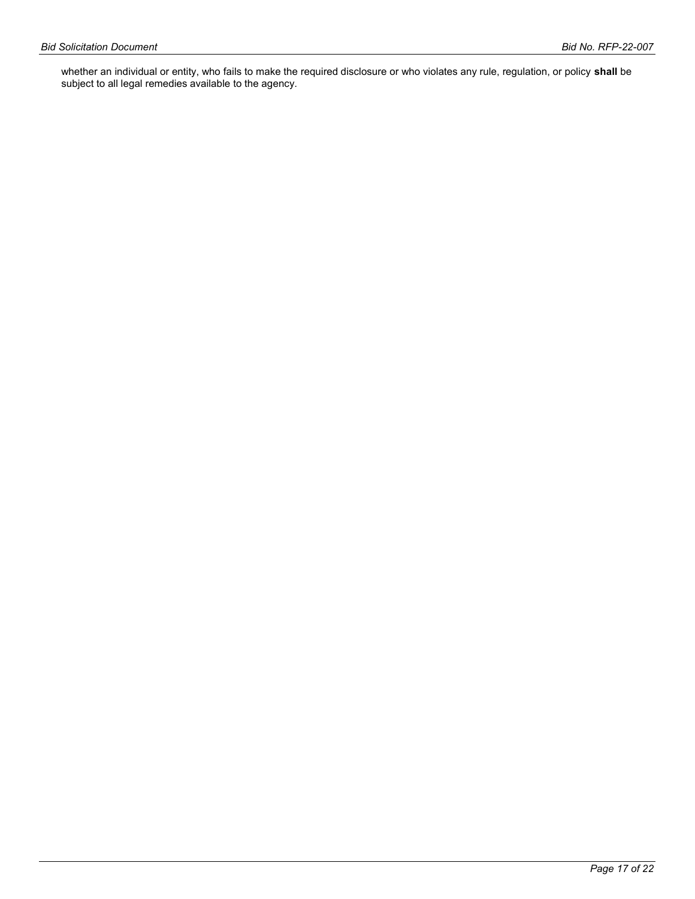whether an individual or entity, who fails to make the required disclosure or who violates any rule, regulation, or policy **shall** be subject to all legal remedies available to the agency.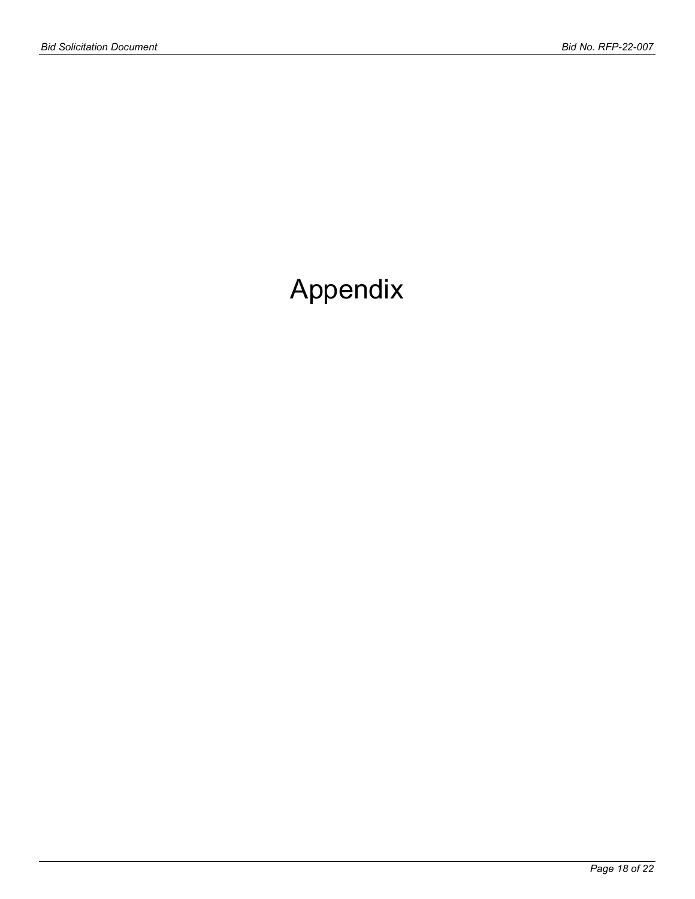# Appendix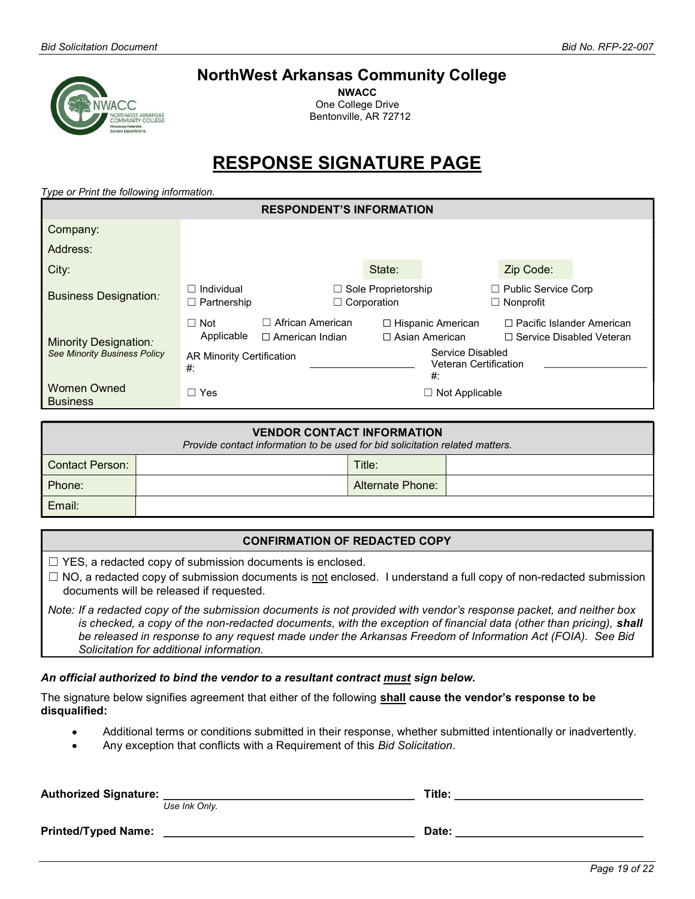# NorthWest Arkansas Community College

NWACC One College Drive Bentonville, AR 72712

# RESPONSE SIGNATURE PAGE

Type or Print the following information.

| <b>RESPONDENT'S INFORMATION</b>       |                                              |                                                 |                                                  |                                                   |                                         |                                                                |
|---------------------------------------|----------------------------------------------|-------------------------------------------------|--------------------------------------------------|---------------------------------------------------|-----------------------------------------|----------------------------------------------------------------|
| Company:                              |                                              |                                                 |                                                  |                                                   |                                         |                                                                |
| Address:                              |                                              |                                                 |                                                  |                                                   |                                         |                                                                |
| City:                                 |                                              |                                                 | State:                                           |                                                   | Zip Code:                               |                                                                |
| <b>Business Designation:</b>          | Individual<br>$\Box$ Partnership             |                                                 | $\Box$ Sole Proprietorship<br>$\Box$ Corporation |                                                   | Public Service Corp<br>$\Box$ Nonprofit |                                                                |
| <b>Minority Designation:</b>          | $\Box$ Not<br>Applicable                     | African American<br>П<br>$\Box$ American Indian |                                                  | $\Box$ Hispanic American<br>$\Box$ Asian American |                                         | $\Box$ Pacific Islander American<br>□ Service Disabled Veteran |
| <b>See Minority Business Policy</b>   | <b>AR Minority Certification</b><br>#:<br>#: |                                                 | Service Disabled<br><b>Veteran Certification</b> |                                                   |                                         |                                                                |
| <b>Women Owned</b><br><b>Business</b> | $\Box$ Yes                                   |                                                 |                                                  | $\Box$ Not Applicable                             |                                         |                                                                |

| <b>VENDOR CONTACT INFORMATION</b><br>Provide contact information to be used for bid solicitation related matters. |  |                  |  |  |
|-------------------------------------------------------------------------------------------------------------------|--|------------------|--|--|
| l Contact Person:                                                                                                 |  | Title:           |  |  |
| Phone:                                                                                                            |  | Alternate Phone: |  |  |
| Email:                                                                                                            |  |                  |  |  |

# CONFIRMATION OF REDACTED COPY

 $\Box$  YES, a redacted copy of submission documents is enclosed.

 $\Box$  NO, a redacted copy of submission documents is not enclosed. I understand a full copy of non-redacted submission documents will be released if requested.

Note: If a redacted copy of the submission documents is not provided with vendor's response packet, and neither box is checked, a copy of the non-redacted documents, with the exception of financial data (other than pricing), shall be released in response to any request made under the Arkansas Freedom of Information Act (FOIA). See Bid Solicitation for additional information.

## An official authorized to bind the vendor to a resultant contract must sign below.

The signature below signifies agreement that either of the following shall cause the vendor's response to be disqualified:

- Additional terms or conditions submitted in their response, whether submitted intentionally or inadvertently.
- Any exception that conflicts with a Requirement of this Bid Solicitation.

| <b>Authorized Signature:</b> | Use Ink Only. | Title: |
|------------------------------|---------------|--------|
| <b>Printed/Typed Name:</b>   |               | Date:  |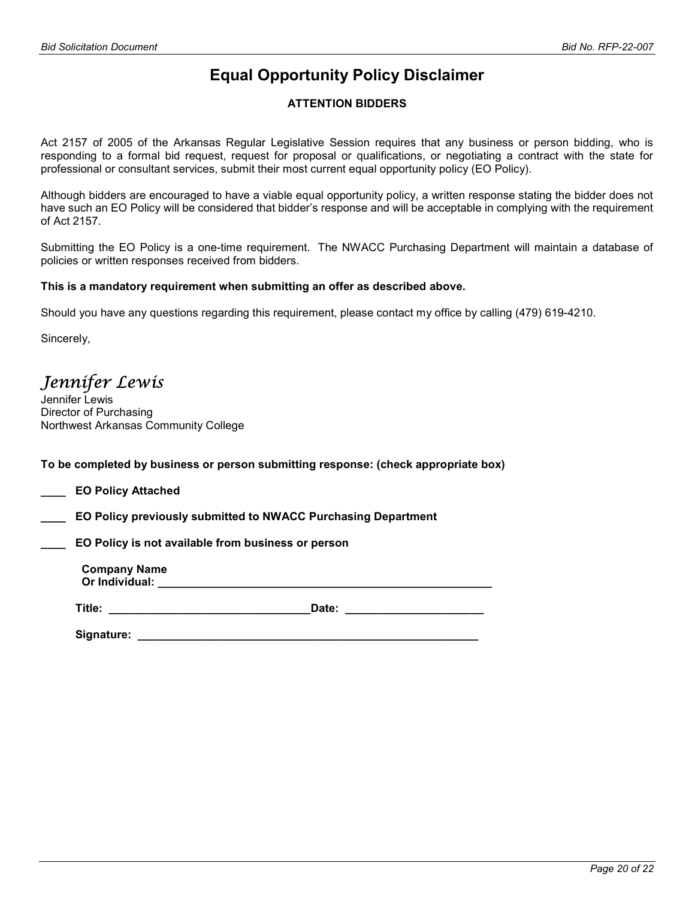# Equal Opportunity Policy Disclaimer

# ATTENTION BIDDERS

Act 2157 of 2005 of the Arkansas Regular Legislative Session requires that any business or person bidding, who is responding to a formal bid request, request for proposal or qualifications, or negotiating a contract with the state for professional or consultant services, submit their most current equal opportunity policy (EO Policy).

Although bidders are encouraged to have a viable equal opportunity policy, a written response stating the bidder does not have such an EO Policy will be considered that bidder's response and will be acceptable in complying with the requirement of Act 2157.

Submitting the EO Policy is a one-time requirement. The NWACC Purchasing Department will maintain a database of policies or written responses received from bidders.

## This is a mandatory requirement when submitting an offer as described above.

Should you have any questions regarding this requirement, please contact my office by calling (479) 619-4210.

Sincerely,

Jennifer Lewis

Jennifer Lewis Director of Purchasing Northwest Arkansas Community College

To be completed by business or person submitting response: (check appropriate box)

\_\_\_\_ EO Policy Attached

\_\_\_\_ EO Policy previously submitted to NWACC Purchasing Department

EO Policy is not available from business or person

Company Name Or Individual: \_\_\_\_\_\_\_\_\_\_\_\_\_\_\_\_\_\_\_\_\_\_\_\_\_\_\_\_\_\_\_\_\_\_\_\_\_\_\_\_\_\_\_\_\_\_\_\_\_\_\_\_\_

Title: \_\_\_\_\_\_\_\_\_\_\_\_\_\_\_\_\_\_\_\_\_\_\_\_\_\_\_\_\_\_\_\_Date: \_\_\_\_\_\_\_\_\_\_\_\_\_\_\_\_\_\_\_\_\_\_

Signature: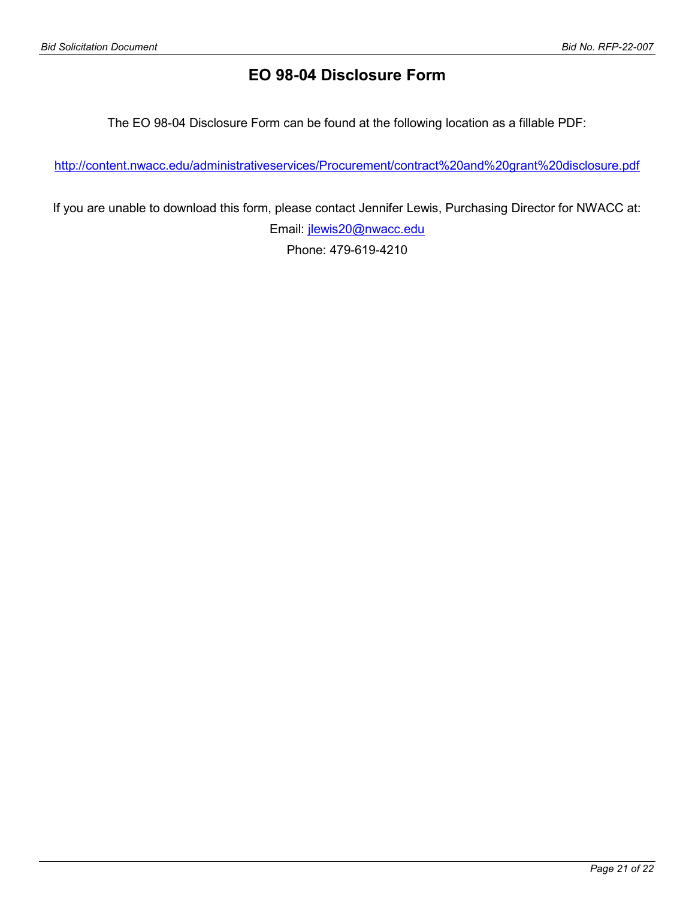# EO 98-04 Disclosure Form

The EO 98-04 Disclosure Form can be found at the following location as a fillable PDF:

http://content.nwacc.edu/administrativeservices/Procurement/contract%20and%20grant%20disclosure.pdf

If you are unable to download this form, please contact Jennifer Lewis, Purchasing Director for NWACC at: Email: jlewis20@nwacc.edu

Phone: 479-619-4210